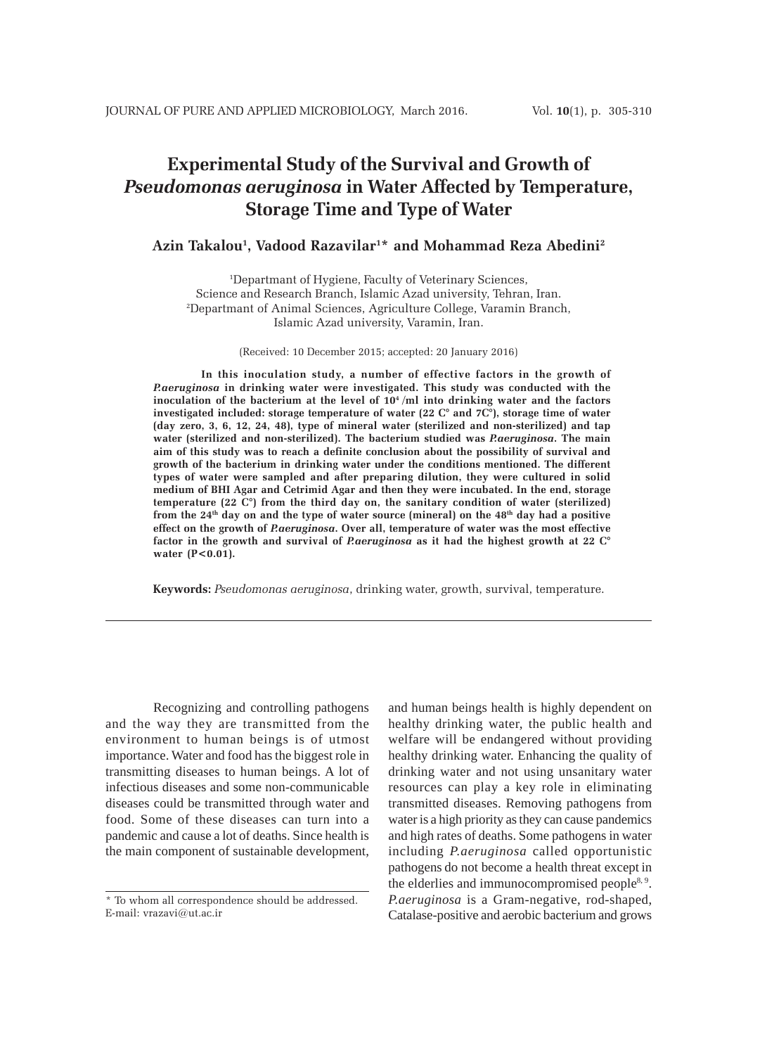# **Experimental Study of the Survival and Growth of** *Pseudomonas aeruginosa* **in Water Affected by Temperature, Storage Time and Type of Water**

## **Azin Takalou1 , Vadood Razavilar1 \* and Mohammad Reza Abedini2**

1 Departmant of Hygiene, Faculty of Veterinary Sciences, Science and Research Branch, Islamic Azad university, Tehran, Iran. 2 Departmant of Animal Sciences, Agriculture College, Varamin Branch, Islamic Azad university, Varamin, Iran.

(Received: 10 December 2015; accepted: 20 January 2016)

**In this inoculation study, a number of effective factors in the growth of** *P.aeruginosa* **in drinking water were investigated. This study was conducted with the** inoculation of the bacterium at the level of 10<sup>4</sup>/ml into drinking water and the factors **investigated included: storage temperature of water (22 C° and 7C°), storage time of water (day zero, 3, 6, 12, 24, 48), type of mineral water (sterilized and non-sterilized) and tap water (sterilized and non-sterilized). The bacterium studied was** *P.aeruginosa***. The main aim of this study was to reach a definite conclusion about the possibility of survival and growth of the bacterium in drinking water under the conditions mentioned. The different types of water were sampled and after preparing dilution, they were cultured in solid medium of BHI Agar and Cetrimid Agar and then they were incubated. In the end, storage temperature (22 C°) from the third day on, the sanitary condition of water (sterilized) from the 24th day on and the type of water source (mineral) on the 48th day had a positive effect on the growth of** *P.aeruginosa***. Over all, temperature of water was the most effective factor in the growth and survival of** *P.aeruginosa* **as it had the highest growth at 22 C° water (P<0.01).**

**Keywords:** *Pseudomonas aeruginosa*, drinking water, growth, survival, temperature.

Recognizing and controlling pathogens and the way they are transmitted from the environment to human beings is of utmost importance. Water and food has the biggest role in transmitting diseases to human beings. A lot of infectious diseases and some non-communicable diseases could be transmitted through water and food. Some of these diseases can turn into a pandemic and cause a lot of deaths. Since health is the main component of sustainable development,

and human beings health is highly dependent on healthy drinking water, the public health and welfare will be endangered without providing healthy drinking water. Enhancing the quality of drinking water and not using unsanitary water resources can play a key role in eliminating transmitted diseases. Removing pathogens from water is a high priority as they can cause pandemics and high rates of deaths. Some pathogens in water including *P.aeruginosa* called opportunistic pathogens do not become a health threat except in the elderlies and immunocompromised people<sup>8, 9</sup>. *P.aeruginosa* is a Gram-negative, rod-shaped, Catalase-positive and aerobic bacterium and grows

<sup>\*</sup> To whom all correspondence should be addressed. E-mail: vrazavi@ut.ac.ir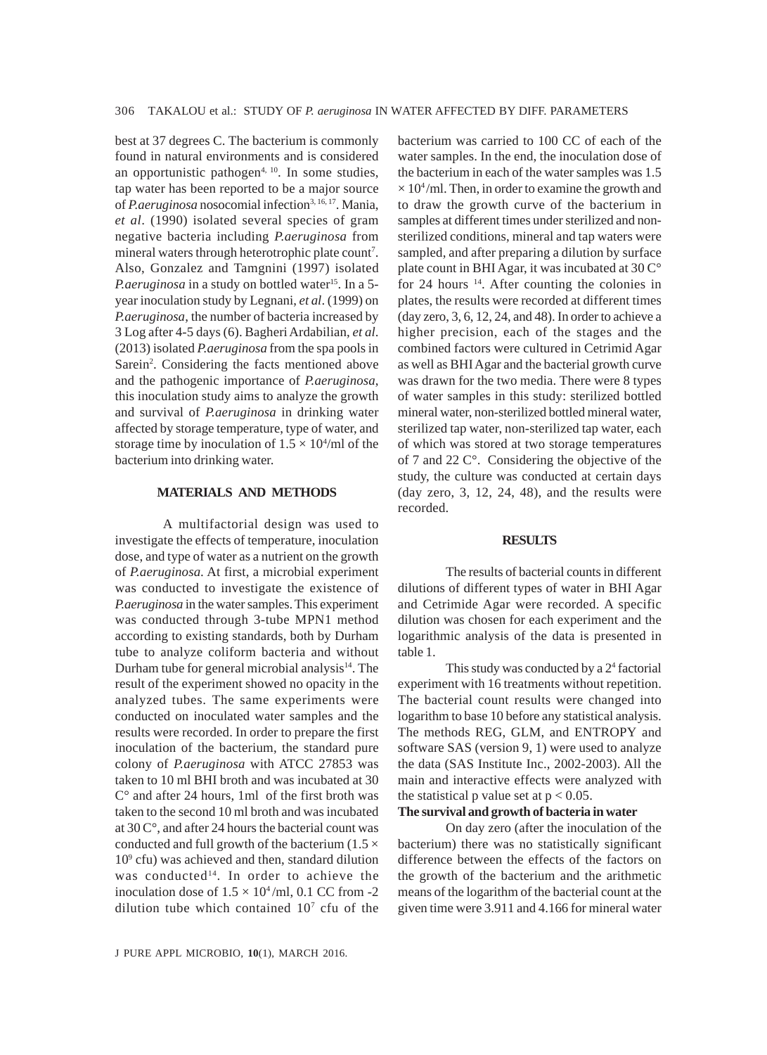best at 37 degrees C. The bacterium is commonly found in natural environments and is considered an opportunistic pathogen $4, 10$ . In some studies, tap water has been reported to be a major source of *P.aeruginosa* nosocomial infection<sup>3, 16, 17</sup>. Mania, *et al*. (1990) isolated several species of gram negative bacteria including *P.aeruginosa* from mineral waters through heterotrophic plate count<sup>7</sup>. Also, Gonzalez and Tamgnini (1997) isolated *P.aeruginosa* in a study on bottled water<sup>15</sup>. In a 5year inoculation study by Legnani, *et al*. (1999) on *P.aeruginosa*, the number of bacteria increased by 3 Log after 4-5 days (6). Bagheri Ardabilian, *et al*. (2013) isolated *P.aeruginosa* from the spa pools in Sarein<sup>2</sup>. Considering the facts mentioned above and the pathogenic importance of *P.aeruginosa*, this inoculation study aims to analyze the growth and survival of *P.aeruginosa* in drinking water affected by storage temperature, type of water, and storage time by inoculation of  $1.5 \times 10^4$ /ml of the bacterium into drinking water.

### **MATERIALS AND METHODS**

A multifactorial design was used to investigate the effects of temperature, inoculation dose, and type of water as a nutrient on the growth of *P.aeruginosa*. At first, a microbial experiment was conducted to investigate the existence of *P.aeruginosa* in the water samples. This experiment was conducted through 3-tube MPN1 method according to existing standards, both by Durham tube to analyze coliform bacteria and without Durham tube for general microbial analysis $14$ . The result of the experiment showed no opacity in the analyzed tubes. The same experiments were conducted on inoculated water samples and the results were recorded. In order to prepare the first inoculation of the bacterium, the standard pure colony of *P.aeruginosa* with ATCC 27853 was taken to 10 ml BHI broth and was incubated at 30  $C^{\circ}$  and after 24 hours, 1 ml of the first broth was taken to the second 10 ml broth and was incubated at 30 C°, and after 24 hours the bacterial count was conducted and full growth of the bacterium ( $1.5 \times$ 109 cfu) was achieved and then, standard dilution was conducted<sup>14</sup>. In order to achieve the inoculation dose of  $1.5 \times 10^4$ /ml, 0.1 CC from -2 dilution tube which contained  $10<sup>7</sup>$  cfu of the

water samples. In the end, the inoculation dose of the bacterium in each of the water samples was 1.5  $\times$  10<sup>4</sup>/ml. Then, in order to examine the growth and to draw the growth curve of the bacterium in samples at different times under sterilized and nonsterilized conditions, mineral and tap waters were sampled, and after preparing a dilution by surface plate count in BHI Agar, it was incubated at 30 C° for 24 hours  $14$ . After counting the colonies in plates, the results were recorded at different times (day zero, 3, 6, 12, 24, and 48). In order to achieve a higher precision, each of the stages and the combined factors were cultured in Cetrimid Agar as well as BHI Agar and the bacterial growth curve was drawn for the two media. There were 8 types of water samples in this study: sterilized bottled mineral water, non-sterilized bottled mineral water, sterilized tap water, non-sterilized tap water, each of which was stored at two storage temperatures of 7 and 22 C°. Considering the objective of the study, the culture was conducted at certain days  $(\text{day zero}, 3, 12, 24, 48)$ , and the results were recorded.

bacterium was carried to 100 CC of each of the

### **RESULTS**

The results of bacterial counts in different dilutions of different types of water in BHI Agar and Cetrimide Agar were recorded. A specific dilution was chosen for each experiment and the logarithmic analysis of the data is presented in table 1.

This study was conducted by a 2<sup>4</sup> factorial experiment with 16 treatments without repetition. The bacterial count results were changed into logarithm to base 10 before any statistical analysis. The methods REG, GLM, and ENTROPY and software SAS (version 9, 1) were used to analyze the data (SAS Institute Inc., 2002-2003). All the main and interactive effects were analyzed with the statistical p value set at  $p < 0.05$ .

## **The survival and growth of bacteria in water**

On day zero (after the inoculation of the bacterium) there was no statistically significant difference between the effects of the factors on the growth of the bacterium and the arithmetic means of the logarithm of the bacterial count at the given time were 3.911 and 4.166 for mineral water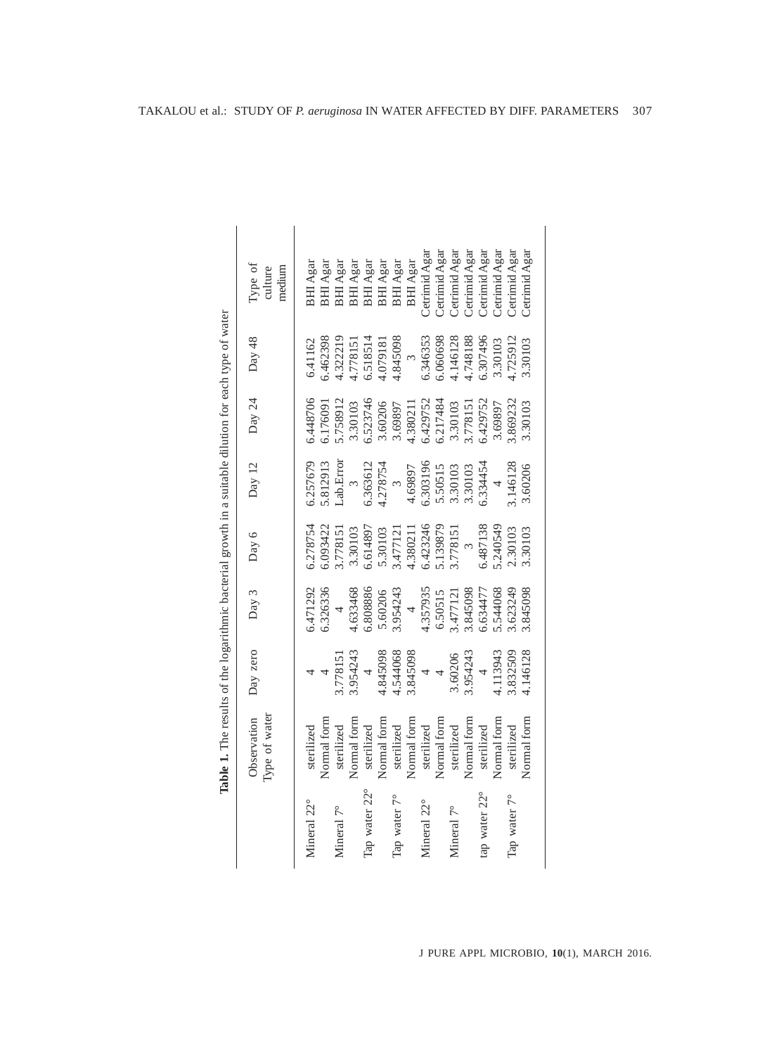|               | Type of water<br>Observation | Day zero                         | Day 3                   | Day 6                     | Day 12                                                            | Day 24             | Day 48               | Type of<br>culture        |
|---------------|------------------------------|----------------------------------|-------------------------|---------------------------|-------------------------------------------------------------------|--------------------|----------------------|---------------------------|
|               |                              |                                  |                         |                           |                                                                   |                    |                      | medium                    |
| Mineral 22°   | sterilized                   |                                  | 5.471292                | 6.278754                  | 6.257679                                                          | 6.448706           | 6.41162              | BHI Agar                  |
|               | Normal form                  |                                  | 6.326336                |                           |                                                                   | 6.176091           | 6.462398             | $\operatorname{BHI}$ Agar |
| Mineral 7°    | sterilized                   | 3.778151                         | $\frac{4}{1}$           | 6.093422<br>3.778151      | $\begin{array}{c} 5.812913 \\ \text{Lab. Error} \\ 3 \end{array}$ | 5.758912           | 1.322219             | BHI Agar                  |
|               | Normal form                  | 3.954243                         | 4.633468                | 3.30103                   |                                                                   | 3.30103            | .778151              | BHI Agar                  |
| Tap water 22° | sterilized                   | $\overline{a}$                   | 6.808886                |                           |                                                                   | 6.523746           |                      | BHI Agar                  |
|               | Normal form                  | 4.845098                         | 5.60206                 | 6.614897<br>5.30103       | 6.363612<br>4.278754<br>3                                         |                    | 6.518514<br>4.079181 | BHI Agar                  |
| Tap water 7°  | sterilized                   | $4.544068$<br>3.845098<br>4<br>4 | $3.954243$<br>4         | 3.477121                  |                                                                   | 3.60206<br>3.69897 | 1.845098             | BHI Agar                  |
|               | Normal form                  |                                  |                         |                           | 4.69897                                                           | 4.380211           | $\frac{3}{2}$        | BHI Agar                  |
| Mineral 22°   | sterilized                   |                                  | 4.357935                | 4.380211<br>6.423246      | 6.303196<br>5.50515                                               | 6.429752           | 6.346353             | Cetrimid Agar             |
|               | Normal form                  |                                  |                         |                           |                                                                   | 5.217484           | 5.060698             | Cetrimid Agar             |
| Mineral 7°    | sterilized                   |                                  | $6.50515$<br>$3.477121$ | 5.139879<br>3.778151<br>3 | 3.30103<br>3.30103                                                | 3.30103            | 1.146128             | Cetrimid Agar             |
|               | Normal form                  | 3.60206<br>3.954243              | 3.845098<br>6.634477    |                           |                                                                   | 3.778151           | 4.748188             | Cetrimid Agar             |
| tap water 22° | sterilized                   | $\overline{a}$                   |                         | 6.487138                  | 5.334454                                                          | 5.429752           | 5.307496             | Cetrimid Agar             |
|               | Normal form                  | 4.113943                         | 5.544068                | 5.240549                  | $\overline{a}$                                                    | 3.69897            | 3.30103              | Cetrimid Agar             |
| Tap water 7°  | sterilized                   | 3.832509                         | 3.623249                | 2.30103                   | 3.146128                                                          | 3.869232           | 1.725912             | Cetrimid Agar             |
|               | Normal form                  | 4.146128                         | 3.845098                | 3.30103                   | 3.60206                                                           | 3.30103            | 3.30103              | Cetrimid Agar             |
|               |                              |                                  |                         |                           |                                                                   |                    |                      |                           |

| $0.001$ trings                                                                                                       |  |
|----------------------------------------------------------------------------------------------------------------------|--|
|                                                                                                                      |  |
|                                                                                                                      |  |
|                                                                                                                      |  |
|                                                                                                                      |  |
| $\sum_{i=1}^{n}$ of $\sum_{i=1}^{n}$ of $\sum_{i=1}^{n}$ in $\sum_{i=1}^{n}$ of $\sum_{i=1}^{n}$ in $\sum_{i=1}^{n}$ |  |
|                                                                                                                      |  |
|                                                                                                                      |  |
|                                                                                                                      |  |
| ithmic hacterial creatifi in a cuitable dilution for ex-                                                             |  |
|                                                                                                                      |  |
|                                                                                                                      |  |
| $t_0$ of the log                                                                                                     |  |
| ֧֦֧֦֧֦֧֦֧֦֧֦֧֪֪֪֦֝֝֝֝֝֜֜֜֜֜֜֜֜֝֜֝֜֝֜֝֜֝֜                                                                             |  |
| $-1$<br>le 1. The resu                                                                                               |  |
| Ē                                                                                                                    |  |
|                                                                                                                      |  |
|                                                                                                                      |  |
|                                                                                                                      |  |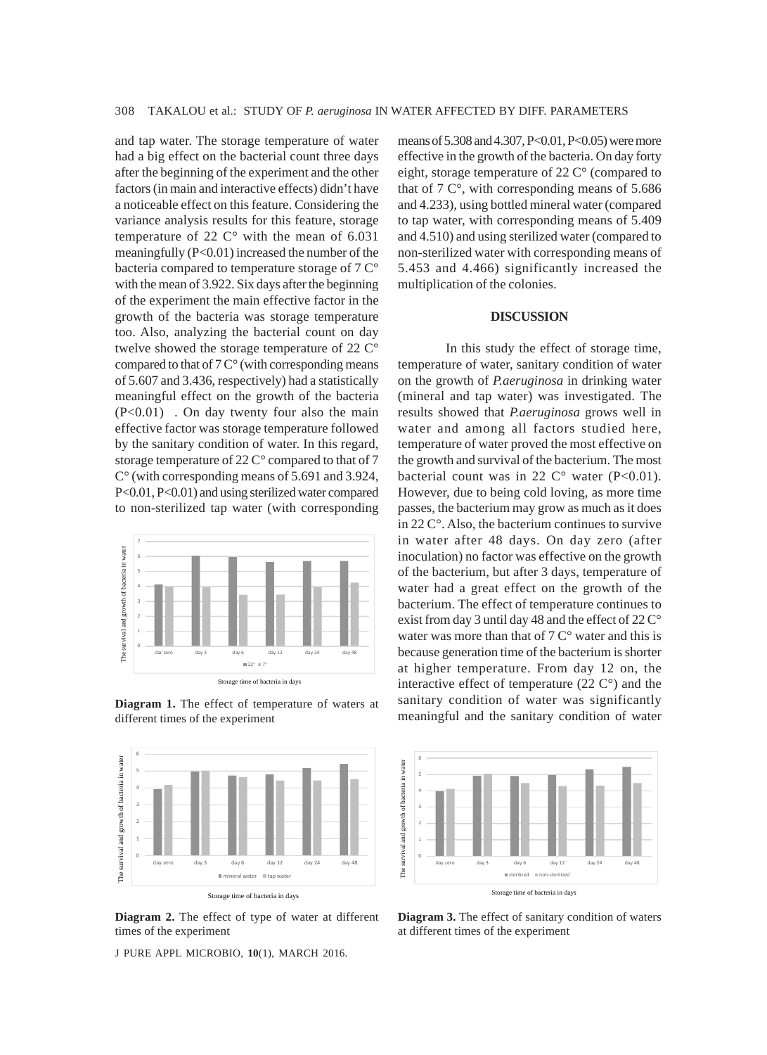and tap water. The storage temperature of water had a big effect on the bacterial count three days after the beginning of the experiment and the other factors (in main and interactive effects) didn't have a noticeable effect on this feature. Considering the variance analysis results for this feature, storage temperature of 22  $C^{\circ}$  with the mean of 6.031 meaningfully (P<0.01) increased the number of the bacteria compared to temperature storage of 7 C° with the mean of 3.922. Six days after the beginning of the experiment the main effective factor in the growth of the bacteria was storage temperature too. Also, analyzing the bacterial count on day twelve showed the storage temperature of 22 C° compared to that of  $7 \degree$  (with corresponding means of 5.607 and 3.436, respectively) had a statistically meaningful effect on the growth of the bacteria (P<0.01) . On day twenty four also the main effective factor was storage temperature followed by the sanitary condition of water. In this regard, storage temperature of 22 C° compared to that of 7 C° (with corresponding means of 5.691 and 3.924, P<0.01, P<0.01) and using sterilized water compared to non-sterilized tap water (with corresponding



**Diagram 1.** The effect of temperature of waters at different times of the experiment



**Diagram 2.** The effect of type of water at different times of the experiment

J PURE APPL MICROBIO*,* **10**(1), MARCH 2016.

means of 5.308 and 4.307, P<0.01, P<0.05) were more effective in the growth of the bacteria. On day forty eight, storage temperature of 22 C° (compared to that of 7 C°, with corresponding means of 5.686 and 4.233), using bottled mineral water (compared to tap water, with corresponding means of 5.409 and 4.510) and using sterilized water (compared to non-sterilized water with corresponding means of 5.453 and 4.466) significantly increased the multiplication of the colonies.

## **DISCUSSION**

In this study the effect of storage time, temperature of water, sanitary condition of water on the growth of *P.aeruginosa* in drinking water (mineral and tap water) was investigated. The results showed that *P.aeruginosa* grows well in water and among all factors studied here, temperature of water proved the most effective on the growth and survival of the bacterium. The most bacterial count was in 22  $C^{\circ}$  water (P<0.01). However, due to being cold loving, as more time passes, the bacterium may grow as much as it does in 22 C°. Also, the bacterium continues to survive in water after 48 days. On day zero (after inoculation) no factor was effective on the growth of the bacterium, but after 3 days, temperature of water had a great effect on the growth of the bacterium. The effect of temperature continues to exist from day 3 until day 48 and the effect of 22 C° water was more than that of  $7 \degree$  water and this is because generation time of the bacterium is shorter at higher temperature. From day 12 on, the interactive effect of temperature (22 C°) and the sanitary condition of water was significantly meaningful and the sanitary condition of water



**Diagram 3.** The effect of sanitary condition of waters at different times of the experiment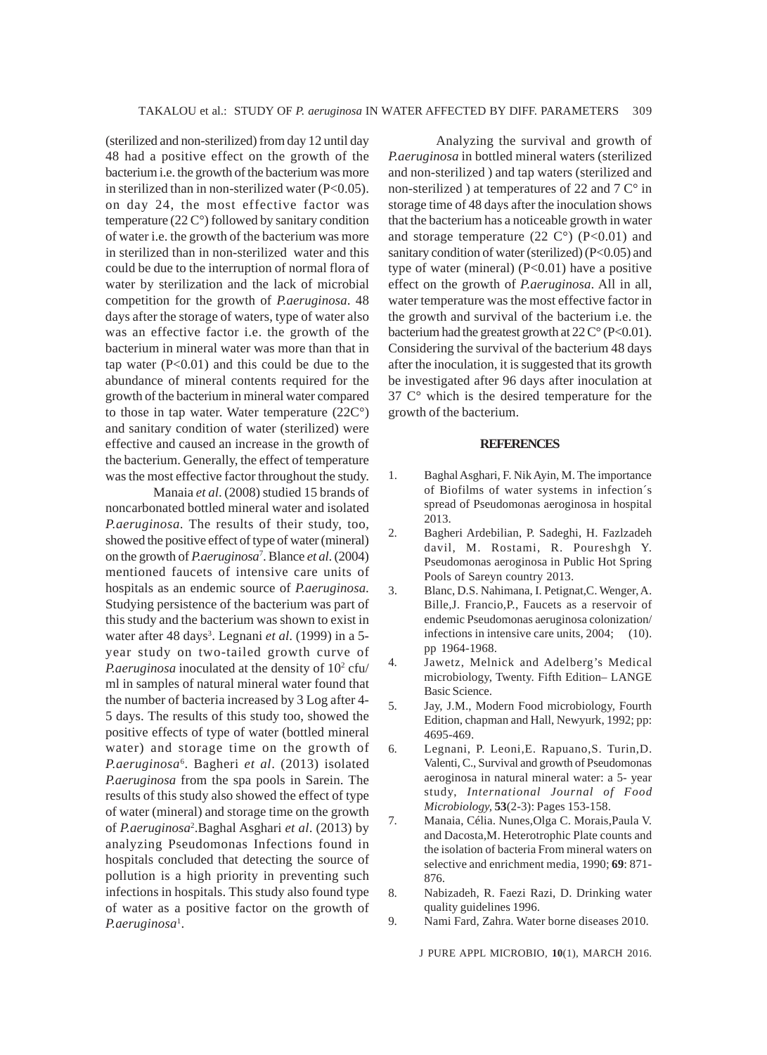(sterilized and non-sterilized) from day 12 until day 48 had a positive effect on the growth of the bacterium i.e. the growth of the bacterium was more in sterilized than in non-sterilized water  $(P<0.05)$ . on day 24, the most effective factor was temperature (22 C°) followed by sanitary condition of water i.e. the growth of the bacterium was more in sterilized than in non-sterilized water and this could be due to the interruption of normal flora of water by sterilization and the lack of microbial competition for the growth of *P.aeruginosa*. 48 days after the storage of waters, type of water also was an effective factor i.e. the growth of the bacterium in mineral water was more than that in tap water  $(P<0.01)$  and this could be due to the abundance of mineral contents required for the growth of the bacterium in mineral water compared to those in tap water. Water temperature (22C°) and sanitary condition of water (sterilized) were effective and caused an increase in the growth of the bacterium. Generally, the effect of temperature was the most effective factor throughout the study.

Manaia *et al*. (2008) studied 15 brands of noncarbonated bottled mineral water and isolated *P.aeruginosa*. The results of their study, too, showed the positive effect of type of water (mineral) on the growth of *P.aeruginosa*<sup>7</sup> . Blance *et al*. (2004) mentioned faucets of intensive care units of hospitals as an endemic source of *P.aeruginosa*. Studying persistence of the bacterium was part of this study and the bacterium was shown to exist in water after 48 days<sup>3</sup>. Legnani *et al*. (1999) in a 5year study on two-tailed growth curve of P.aeruginosa inoculated at the density of 10<sup>2</sup> cfu/ ml in samples of natural mineral water found that the number of bacteria increased by 3 Log after 4- 5 days. The results of this study too, showed the positive effects of type of water (bottled mineral water) and storage time on the growth of *P.aeruginosa*<sup>6</sup> . Bagheri *et al*. (2013) isolated *P.aeruginosa* from the spa pools in Sarein. The results of this study also showed the effect of type of water (mineral) and storage time on the growth of *P.aeruginosa*<sup>2</sup> .Baghal Asghari *et al*. (2013) by analyzing Pseudomonas Infections found in hospitals concluded that detecting the source of pollution is a high priority in preventing such infections in hospitals. This study also found type of water as a positive factor on the growth of P.aeruginosa<sup>1</sup>.

Analyzing the survival and growth of *P.aeruginosa* in bottled mineral waters (sterilized and non-sterilized ) and tap waters (sterilized and non-sterilized ) at temperatures of 22 and  $7 \degree$  in storage time of 48 days after the inoculation shows that the bacterium has a noticeable growth in water and storage temperature  $(22 \text{ }^\circ)$   $(P<0.01)$  and sanitary condition of water (sterilized) (P<0.05) and type of water (mineral) (P<0.01) have a positive effect on the growth of *P.aeruginosa*. All in all, water temperature was the most effective factor in the growth and survival of the bacterium i.e. the bacterium had the greatest growth at  $22 \degree C^{\circ}$  (P<0.01). Considering the survival of the bacterium 48 days after the inoculation, it is suggested that its growth be investigated after 96 days after inoculation at 37 C° which is the desired temperature for the growth of the bacterium.

#### **REFERENCES**

- 1. Baghal Asghari, F. Nik Ayin, M. The importance of Biofilms of water systems in infection´s spread of Pseudomonas aeroginosa in hospital 2013.
- 2. Bagheri Ardebilian, P. Sadeghi, H. Fazlzadeh davil, M. Rostami, R. Poureshgh Y. Pseudomonas aeroginosa in Public Hot Spring Pools of Sareyn country 2013.
- 3. Blanc, D.S. Nahimana, I. Petignat,C. Wenger, A. Bille,J. Francio,P., Faucets as a reservoir of endemic Pseudomonas aeruginosa colonization/ infections in intensive care units, 2004; (10). pp 1964-1968.
- 4. Jawetz, Melnick and Adelberg's Medical microbiology, Twenty. Fifth Edition– LANGE Basic Science.
- 5. Jay, J.M., Modern Food microbiology, Fourth Edition, chapman and Hall, Newyurk, 1992; pp: 4695-469.
- 6. Legnani, P. Leoni,E. Rapuano,S. Turin,D. Valenti, C., Survival and growth of Pseudomonas aeroginosa in natural mineral water: a 5- year study, *International Journal of Food Microbiology,* **53**(2-3): Pages 153-158.
- 7. Manaia, Célia. Nunes,Olga C. Morais,Paula V. and Dacosta,M. Heterotrophic Plate counts and the isolation of bacteria From mineral waters on selective and enrichment media, 1990; **69**: 871- 876.
- 8. Nabizadeh, R. Faezi Razi, D. Drinking water quality guidelines 1996.
- 9. Nami Fard, Zahra. Water borne diseases 2010.

J PURE APPL MICROBIO*,* **10**(1), MARCH 2016.